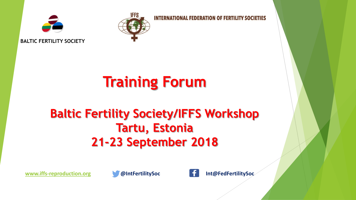



**INTERNATIONAL FEDERATION OF FERTILITY SOCIETIES** 



# **Training Forum**

#### **Baltic Fertility Society/IFFS Workshop Tartu, Estonia 21-23 September 2018**

**[www.iffs-reproduction.org](http://www.iffs-reproduction.org/) @IntFertilitySoc Int@FedFertilitySoc**



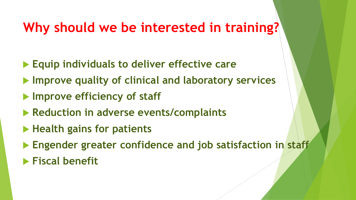#### **Why should we be interested in training?**

- **Equip individuals to deliver effective care**
- **Improve quality of clinical and laboratory services**
- **Improve efficiency of staff**
- **Reduction in adverse events/complaints**
- **Health gains for patients**
- **Engender greater confidence and job satisfaction in staff**
- **Fiscal benefit**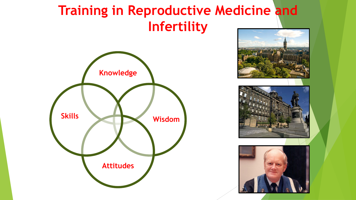#### **Training in Reproductive Medicine and Infertility**







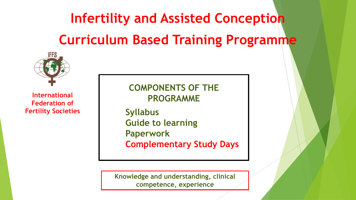# **Infertility and Assisted Conception Curriculum Based Training Programme**



**International Federation of Fertility Societies** **COMPONENTS OF THE PROGRAMME**

**Syllabus Guide to learning Paperwork Complementary Study Days**

**Knowledge and understanding, clinical competence, experience**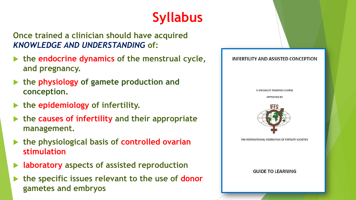## **Syllabus**

**Once trained a clinician should have acquired**  *KNOWLEDGE AND UNDERSTANDING* **of:** 

- ▶ the endocrine dynamics of the menstrual cycle, **and pregnancy.**
- **the physiology of gamete production and conception.**
- **the epidemiology of infertility.**
- **the causes of infertility and their appropriate management.**
- **the physiological basis of controlled ovarian stimulation**
- **laboratory aspects of assisted reproduction**
- **the specific issues relevant to the use of donor gametes and embryos**

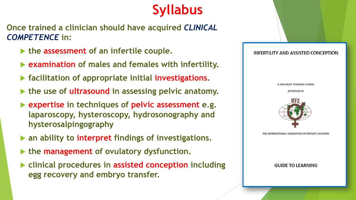## **Syllabus**

**Once trained a clinician should have acquired** *CLINICAL COMPETENCE* **in:** 

- **the assessment of an infertile couple.**
- **examination of males and females with infertility.**
- **Facilitation of appropriate initial investigations.**
- **the use of ultrasound in assessing pelvic anatomy.**
- **expertise in techniques of pelvic assessment e.g. laparoscopy, hysteroscopy, hydrosonography and hysterosalpingography**
- **an ability to interpret findings of investigations.**
- **the management of ovulatory dysfunction.**
- **clinical procedures in assisted conception including egg recovery and embryo transfer.**

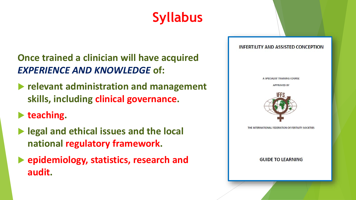# **Syllabus**

#### **Once trained a clinician will have acquired**  *EXPERIENCE AND KNOWLEDGE* **of:**

- **relevant administration and management skills, including clinical governance.**
- **teaching.**
- **legal and ethical issues and the local national regulatory framework.**
- **epidemiology, statistics, research and audit.**

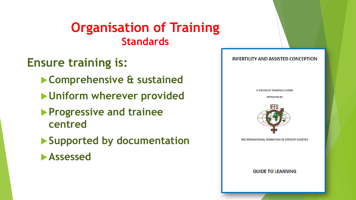#### **Organisation of Training Standards**

#### **Ensure training is:**

- **Comprehensive & sustained**
- **Uniform wherever provided**
- **Progressive and trainee centred**
- **Supported by documentation**
- **Assessed**

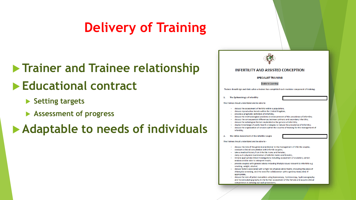### **Delivery of Training**

#### **Figure 1-13 Trainee relationship**

#### **Educational contract**

- **Setting targets**
- **Assessment of progress**

#### **Adaptable to needs of individuals**

|    | <b>INFERTILITY AND ASSISTED CONCEPTION</b>                                                                                                                                                                                                                                                                                                                                                                                                                                                                                                                                                                                                                                                                                                                                                                                                       |
|----|--------------------------------------------------------------------------------------------------------------------------------------------------------------------------------------------------------------------------------------------------------------------------------------------------------------------------------------------------------------------------------------------------------------------------------------------------------------------------------------------------------------------------------------------------------------------------------------------------------------------------------------------------------------------------------------------------------------------------------------------------------------------------------------------------------------------------------------------------|
|    | <b>SPECIALIST TRAINING</b>                                                                                                                                                                                                                                                                                                                                                                                                                                                                                                                                                                                                                                                                                                                                                                                                                       |
|    | <b>Guide to Learning</b>                                                                                                                                                                                                                                                                                                                                                                                                                                                                                                                                                                                                                                                                                                                                                                                                                         |
|    | Trainer should sign and date when a trainee has completed each modular component of training.                                                                                                                                                                                                                                                                                                                                                                                                                                                                                                                                                                                                                                                                                                                                                    |
| 1. | The Epidemiology of Infertility                                                                                                                                                                                                                                                                                                                                                                                                                                                                                                                                                                                                                                                                                                                                                                                                                  |
|    | The trainee should understand and be able to:                                                                                                                                                                                                                                                                                                                                                                                                                                                                                                                                                                                                                                                                                                                                                                                                    |
|    | discuss the assessment of fertility within a population;<br>discuss reproductive trends within the United Kingdom;<br>$\sim$<br>provide a pragmatic definition of infertility:<br>discuss the methodological problems in measurement of the prevalence of infertility;<br>discuss the consequential differences between primary and secondary infertility;<br>discuss the aetiological factors implicated in the genesis of infertility;<br>display knowledge of public health strategies to reduce the prevalence of infertility;<br>discuss the organisation of services within the country of training for the management of<br>infertility.                                                                                                                                                                                                  |
| 2. | The Initial Assessment of the Infertile Couple                                                                                                                                                                                                                                                                                                                                                                                                                                                                                                                                                                                                                                                                                                                                                                                                   |
|    | The trainee should understand and be able to:-                                                                                                                                                                                                                                                                                                                                                                                                                                                                                                                                                                                                                                                                                                                                                                                                   |
|    | discuss the role of the general practitioner in the management of infertile couples;<br>- conduct a clinical consultation with infertile couples:<br>take a medical history from infertile males and females;<br>carry out a physical examination of infertile males and females;<br>initiate appropriate initial investigations including assessment of ovulation, semen<br>analysis and be able to interpret results;<br>provide couples with general advice including lifestyle issues relevant to infertility e.g.<br>smoking, weight, alcohol:<br>discuss factors associated with a high risk of pelvic abnormality, including the place of<br>chlamydia screening, and the need for collaboration with a genitourinary clinic if<br>appropriate:<br>discuss the role of pelvic evaluation using laparoscopy, hysteroscopy, hydrosonography |
|    | and hysterosalpingography in the further assessment of the female and acquire clinical<br>competence in carrying out such procedures;                                                                                                                                                                                                                                                                                                                                                                                                                                                                                                                                                                                                                                                                                                            |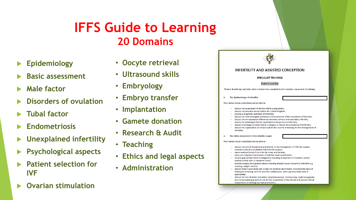#### **IFFS Guide to Learning 20 Domains**

- **Epidemiology**
- **Basic assessment**
- **Male factor**
- **Disorders of ovulation**
- **Tubal factor**
- **Endometriosis**
- **Unexplained infertility**
- **Psychological aspects**
- **Patient selection for IVF**
- **Ovarian stimulation**
- **Oocyte retrieval**
- **Ultrasound skills**
- **Embryology**
- **Embryo transfer**
- **Implantation**
- **Gamete donation**
- **Research & Audit**
- **Teaching**
- **Ethics and legal aspects**
- **Administration**

|                  | <b>INFERTILITY AND ASSISTED CONCEPTION</b>                                                                                                                                       |
|------------------|----------------------------------------------------------------------------------------------------------------------------------------------------------------------------------|
|                  | <b>SPECIALIST TRAINING</b>                                                                                                                                                       |
|                  | <b>Guide to Learning</b>                                                                                                                                                         |
|                  | Trainer should sign and date when a trainee has completed each modular component of training.                                                                                    |
| 1.               | The Epidemiology of Infertility                                                                                                                                                  |
|                  | The trainee should understand and be able to:                                                                                                                                    |
|                  | discuss the assessment of fertility within a population:                                                                                                                         |
|                  | discuss reproductive trends within the United Kingdom;                                                                                                                           |
|                  | - provide a pragmatic definition of infertility;                                                                                                                                 |
|                  | discuss the methodological problems in measurement of the prevalence of infertility;                                                                                             |
|                  | discuss the consequential differences between primary and secondary infertility;<br>discuss the aetiological factors implicated in the genesis of infertility;                   |
|                  | display knowledge of public health strategies to reduce the prevalence of infertility;                                                                                           |
|                  | discuss the organisation of services within the country of training for the management of<br>infertility.                                                                        |
| $\overline{2}$ . | The Initial Assessment of the Infertile Couple                                                                                                                                   |
|                  | The trainee should understand and be able to:-                                                                                                                                   |
|                  | - discuss the role of the general practitioner in the management of infertile couples;                                                                                           |
|                  | - conduct a clinical consultation with infertile couples:                                                                                                                        |
|                  | - take a medical history from infertile males and females;                                                                                                                       |
|                  | - carry out a physical examination of infertile males and females;                                                                                                               |
|                  | initiate appropriate initial investigations including assessment of ovulation, semen<br>analysis and be able to interpret results;                                               |
|                  | provide couples with general advice including lifestyle issues relevant to infertility e.g.                                                                                      |
|                  | smoking, weight, alcohol;                                                                                                                                                        |
|                  | - discuss factors associated with a high risk of pelvic abnormality, including the place of                                                                                      |
|                  | chlamydia screening, and the need for collaboration with a genitourinary clinic if                                                                                               |
|                  |                                                                                                                                                                                  |
|                  | appropriate:                                                                                                                                                                     |
|                  | discuss the role of pelvic evaluation using laparoscopy, hysteroscopy, hydrosonography<br>and hysterosalpingography in the further assessment of the female and acquire clinical |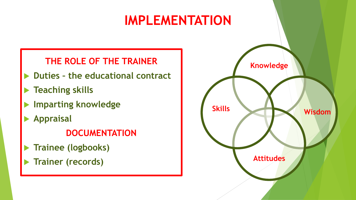### **IMPLEMENTATION**

**THE ROLE OF THE TRAINER**

- **Duties – the educational contract**
- **Teaching skills**
- **Imparting knowledge**
- **Appraisal**

**DOCUMENTATION**

- **Trainee (logbooks)**
- **Trainer (records)**

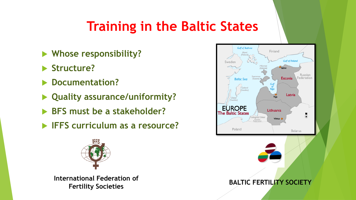### **Training in the Baltic States**

- **Whose responsibility?**
- **Structure?**
- **Documentation?**
- **Quality assurance/uniformity?**
- **BFS must be a stakeholder?**
- **IFFS curriculum as a resource?**



**Fertility Societies**

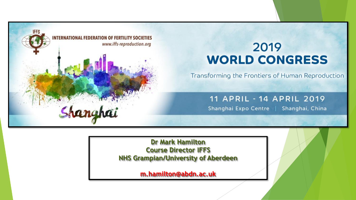

**Dr Mark Hamilton Course Director IFFS NHS Grampian/University of Aberdeen**

**m.hamilton@abdn.ac.uk**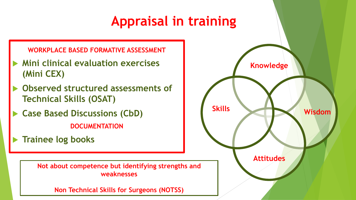### **Appraisal in training**

**Knowledge**

**Skills**

**Attitudes**

**Wisdom**

**WORKPLACE BASED FORMATIVE ASSESSMENT**

- **Mini clinical evaluation exercises (Mini CEX)**
- **Observed structured assessments of Technical Skills (OSAT)**
- **Case Based Discussions (CbD) DOCUMENTATION**
- **Trainee log books**

**Not about competence but identifying strengths and weaknesses**

**Non Technical Skills for Surgeons (NOTSS)**